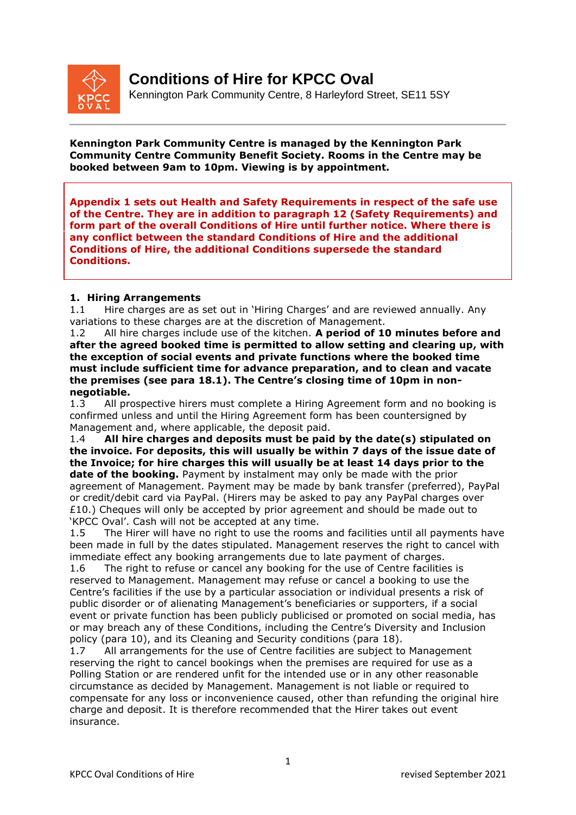

# **Conditions of Hire for KPCC Oval**

Kennington Park Community Centre, 8 Harleyford Street, SE11 5SY

**Kennington Park Community Centre is managed by the Kennington Park Community Centre Community Benefit Society. Rooms in the Centre may be booked between 9am to 10pm. Viewing is by appointment.**

**Appendix 1 sets out Health and Safety Requirements in respect of the safe use of the Centre. They are in addition to paragraph 12 (Safety Requirements) and form part of the overall Conditions of Hire until further notice. Where there is any conflict between the standard Conditions of Hire and the additional Conditions of Hire, the additional Conditions supersede the standard Conditions.**

# **1. Hiring Arrangements**

1.1 Hire charges are as set out in 'Hiring Charges' and are reviewed annually. Any variations to these charges are at the discretion of Management.

1.2 All hire charges include use of the kitchen. **A period of 10 minutes before and after the agreed booked time is permitted to allow setting and clearing up, with the exception of social events and private functions where the booked time must include sufficient time for advance preparation, and to clean and vacate the premises (see para 18.1). The Centre's closing time of 10pm in nonnegotiable.**

1.3 All prospective hirers must complete a Hiring Agreement form and no booking is confirmed unless and until the Hiring Agreement form has been countersigned by Management and, where applicable, the deposit paid.

1.4 **All hire charges and deposits must be paid by the date(s) stipulated on the invoice. For deposits, this will usually be within 7 days of the issue date of the Invoice; for hire charges this will usually be at least 14 days prior to the date of the booking.** Payment by instalment may only be made with the prior agreement of Management. Payment may be made by bank transfer (preferred), PayPal or credit/debit card via PayPal. (Hirers may be asked to pay any PayPal charges over  $£10$ .) Cheques will only be accepted by prior agreement and should be made out to 'KPCC Oval'. Cash will not be accepted at any time.

1.5 The Hirer will have no right to use the rooms and facilities until all payments have been made in full by the dates stipulated. Management reserves the right to cancel with immediate effect any booking arrangements due to late payment of charges.

1.6 The right to refuse or cancel any booking for the use of Centre facilities is reserved to Management. Management may refuse or cancel a booking to use the Centre's facilities if the use by a particular association or individual presents a risk of public disorder or of alienating Management's beneficiaries or supporters, if a social event or private function has been publicly publicised or promoted on social media, has or may breach any of these Conditions, including the Centre's Diversity and Inclusion policy (para 10), and its Cleaning and Security conditions (para 18).

1.7 All arrangements for the use of Centre facilities are subject to Management reserving the right to cancel bookings when the premises are required for use as a Polling Station or are rendered unfit for the intended use or in any other reasonable circumstance as decided by Management. Management is not liable or required to compensate for any loss or inconvenience caused, other than refunding the original hire charge and deposit. It is therefore recommended that the Hirer takes out event insurance.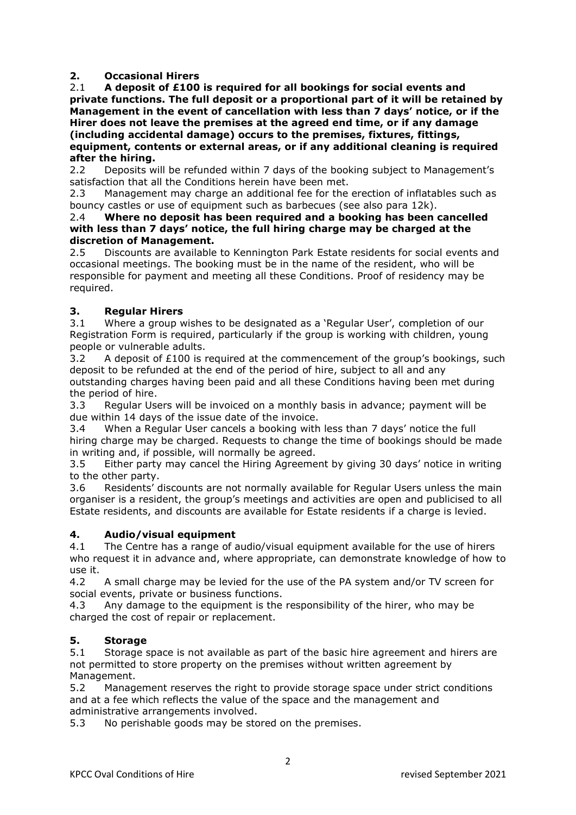### **2. Occasional Hirers**

2.1 **A deposit of £100 is required for all bookings for social events and private functions. The full deposit or a proportional part of it will be retained by Management in the event of cancellation with less than 7 days' notice, or if the Hirer does not leave the premises at the agreed end time, or if any damage (including accidental damage) occurs to the premises, fixtures, fittings, equipment, contents or external areas, or if any additional cleaning is required after the hiring.**

2.2 Deposits will be refunded within 7 days of the booking subject to Management's satisfaction that all the Conditions herein have been met.

2.3 Management may charge an additional fee for the erection of inflatables such as bouncy castles or use of equipment such as barbecues (see also para 12k).

#### 2.4 **Where no deposit has been required and a booking has been cancelled with less than 7 days' notice, the full hiring charge may be charged at the discretion of Management.**

2.5 Discounts are available to Kennington Park Estate residents for social events and occasional meetings. The booking must be in the name of the resident, who will be responsible for payment and meeting all these Conditions. Proof of residency may be required.

# **3. Regular Hirers**

3.1 Where a group wishes to be designated as a 'Regular User', completion of our Registration Form is required, particularly if the group is working with children, young people or vulnerable adults.

3.2 A deposit of  $E100$  is required at the commencement of the group's bookings, such deposit to be refunded at the end of the period of hire, subject to all and any outstanding charges having been paid and all these Conditions having been met during the period of hire.

3.3 Regular Users will be invoiced on a monthly basis in advance; payment will be due within 14 days of the issue date of the invoice.

3.4 When a Regular User cancels a booking with less than 7 days' notice the full hiring charge may be charged. Requests to change the time of bookings should be made in writing and, if possible, will normally be agreed.

3.5 Either party may cancel the Hiring Agreement by giving 30 days' notice in writing to the other party.

3.6 Residents' discounts are not normally available for Regular Users unless the main organiser is a resident, the group's meetings and activities are open and publicised to all Estate residents, and discounts are available for Estate residents if a charge is levied.

# **4. Audio/visual equipment**

4.1 The Centre has a range of audio/visual equipment available for the use of hirers who request it in advance and, where appropriate, can demonstrate knowledge of how to use it.

4.2 A small charge may be levied for the use of the PA system and/or TV screen for social events, private or business functions.

4.3 Any damage to the equipment is the responsibility of the hirer, who may be charged the cost of repair or replacement.

# **5. Storage**

5.1 Storage space is not available as part of the basic hire agreement and hirers are not permitted to store property on the premises without written agreement by Management.

5.2 Management reserves the right to provide storage space under strict conditions and at a fee which reflects the value of the space and the management and administrative arrangements involved.

5.3 No perishable goods may be stored on the premises.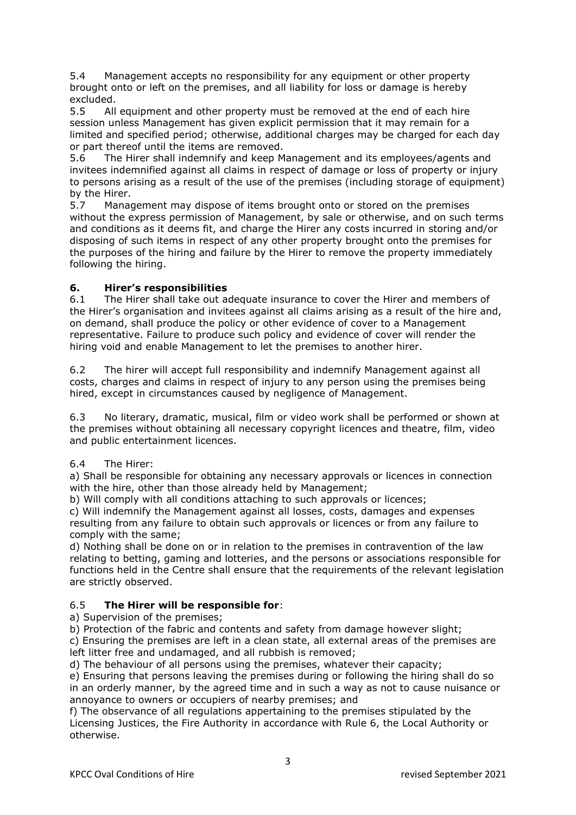5.4 Management accepts no responsibility for any equipment or other property brought onto or left on the premises, and all liability for loss or damage is hereby excluded.

5.5 All equipment and other property must be removed at the end of each hire session unless Management has given explicit permission that it may remain for a limited and specified period; otherwise, additional charges may be charged for each day or part thereof until the items are removed.

5.6 The Hirer shall indemnify and keep Management and its employees/agents and invitees indemnified against all claims in respect of damage or loss of property or injury to persons arising as a result of the use of the premises (including storage of equipment) by the Hirer.

5.7 Management may dispose of items brought onto or stored on the premises without the express permission of Management, by sale or otherwise, and on such terms and conditions as it deems fit, and charge the Hirer any costs incurred in storing and/or disposing of such items in respect of any other property brought onto the premises for the purposes of the hiring and failure by the Hirer to remove the property immediately following the hiring.

# **6. Hirer's responsibilities**

6.1 The Hirer shall take out adequate insurance to cover the Hirer and members of the Hirer's organisation and invitees against all claims arising as a result of the hire and, on demand, shall produce the policy or other evidence of cover to a Management representative. Failure to produce such policy and evidence of cover will render the hiring void and enable Management to let the premises to another hirer.

6.2 The hirer will accept full responsibility and indemnify Management against all costs, charges and claims in respect of injury to any person using the premises being hired, except in circumstances caused by negligence of Management.

6.3 No literary, dramatic, musical, film or video work shall be performed or shown at the premises without obtaining all necessary copyright licences and theatre, film, video and public entertainment licences.

### 6.4 The Hirer:

a) Shall be responsible for obtaining any necessary approvals or licences in connection with the hire, other than those already held by Management;

b) Will comply with all conditions attaching to such approvals or licences;

c) Will indemnify the Management against all losses, costs, damages and expenses resulting from any failure to obtain such approvals or licences or from any failure to comply with the same;

d) Nothing shall be done on or in relation to the premises in contravention of the law relating to betting, gaming and lotteries, and the persons or associations responsible for functions held in the Centre shall ensure that the requirements of the relevant legislation are strictly observed.

### 6.5 **The Hirer will be responsible for**:

a) Supervision of the premises;

b) Protection of the fabric and contents and safety from damage however slight; c) Ensuring the premises are left in a clean state, all external areas of the premises are left litter free and undamaged, and all rubbish is removed;

d) The behaviour of all persons using the premises, whatever their capacity;

e) Ensuring that persons leaving the premises during or following the hiring shall do so in an orderly manner, by the agreed time and in such a way as not to cause nuisance or annoyance to owners or occupiers of nearby premises; and

f) The observance of all regulations appertaining to the premises stipulated by the Licensing Justices, the Fire Authority in accordance with Rule 6, the Local Authority or otherwise.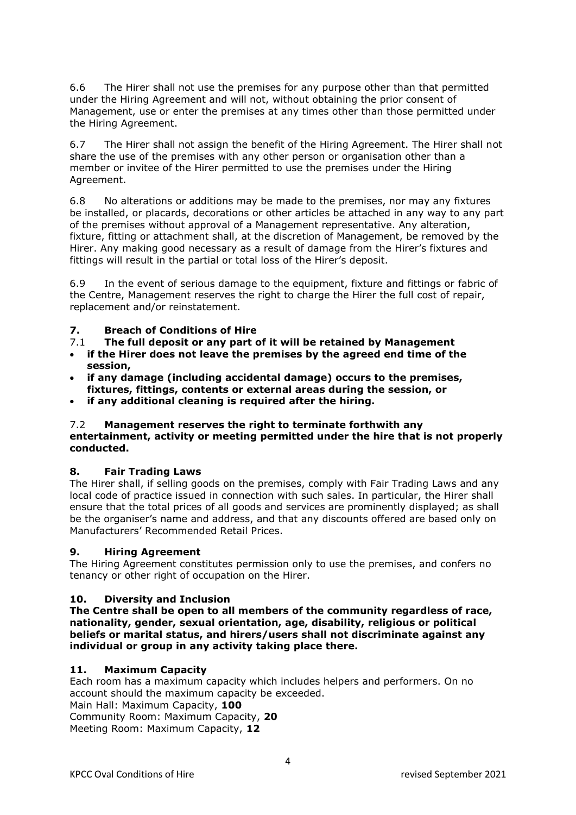6.6 The Hirer shall not use the premises for any purpose other than that permitted under the Hiring Agreement and will not, without obtaining the prior consent of Management, use or enter the premises at any times other than those permitted under the Hiring Agreement.

6.7 The Hirer shall not assign the benefit of the Hiring Agreement. The Hirer shall not share the use of the premises with any other person or organisation other than a member or invitee of the Hirer permitted to use the premises under the Hiring Agreement.

6.8 No alterations or additions may be made to the premises, nor may any fixtures be installed, or placards, decorations or other articles be attached in any way to any part of the premises without approval of a Management representative. Any alteration, fixture, fitting or attachment shall, at the discretion of Management, be removed by the Hirer. Any making good necessary as a result of damage from the Hirer's fixtures and fittings will result in the partial or total loss of the Hirer's deposit.

6.9 In the event of serious damage to the equipment, fixture and fittings or fabric of the Centre, Management reserves the right to charge the Hirer the full cost of repair, replacement and/or reinstatement.

### **7. Breach of Conditions of Hire**

- 7.1 **The full deposit or any part of it will be retained by Management**
- **if the Hirer does not leave the premises by the agreed end time of the session,**
- **if any damage (including accidental damage) occurs to the premises, fixtures, fittings, contents or external areas during the session, or**
- **if any additional cleaning is required after the hiring.**

#### 7.2 **Management reserves the right to terminate forthwith any entertainment, activity or meeting permitted under the hire that is not properly conducted.**

#### **8. Fair Trading Laws**

The Hirer shall, if selling goods on the premises, comply with Fair Trading Laws and any local code of practice issued in connection with such sales. In particular, the Hirer shall ensure that the total prices of all goods and services are prominently displayed; as shall be the organiser's name and address, and that any discounts offered are based only on Manufacturers' Recommended Retail Prices.

#### **9. Hiring Agreement**

The Hiring Agreement constitutes permission only to use the premises, and confers no tenancy or other right of occupation on the Hirer.

#### **10. Diversity and Inclusion**

**The Centre shall be open to all members of the community regardless of race, nationality, gender, sexual orientation, age, disability, religious or political beliefs or marital status, and hirers/users shall not discriminate against any individual or group in any activity taking place there.** 

#### **11. Maximum Capacity**

Each room has a maximum capacity which includes helpers and performers. On no account should the maximum capacity be exceeded. Main Hall: Maximum Capacity, **100** Community Room: Maximum Capacity, **20** Meeting Room: Maximum Capacity, **12**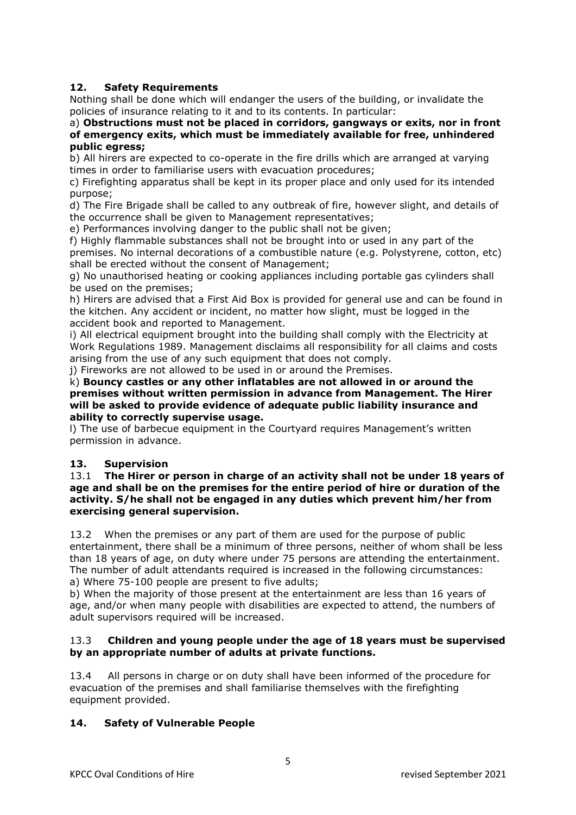# **12. Safety Requirements**

Nothing shall be done which will endanger the users of the building, or invalidate the policies of insurance relating to it and to its contents. In particular:

#### a) **Obstructions must not be placed in corridors, gangways or exits, nor in front of emergency exits, which must be immediately available for free, unhindered public egress;**

b) All hirers are expected to co-operate in the fire drills which are arranged at varying times in order to familiarise users with evacuation procedures;

c) Firefighting apparatus shall be kept in its proper place and only used for its intended purpose;

d) The Fire Brigade shall be called to any outbreak of fire, however slight, and details of the occurrence shall be given to Management representatives;

e) Performances involving danger to the public shall not be given;

f) Highly flammable substances shall not be brought into or used in any part of the premises. No internal decorations of a combustible nature (e.g. Polystyrene, cotton, etc) shall be erected without the consent of Management;

g) No unauthorised heating or cooking appliances including portable gas cylinders shall be used on the premises;

h) Hirers are advised that a First Aid Box is provided for general use and can be found in the kitchen. Any accident or incident, no matter how slight, must be logged in the accident book and reported to Management.

i) All electrical equipment brought into the building shall comply with the Electricity at Work Regulations 1989. Management disclaims all responsibility for all claims and costs arising from the use of any such equipment that does not comply.

j) Fireworks are not allowed to be used in or around the Premises.

k) **Bouncy castles or any other inflatables are not allowed in or around the premises without written permission in advance from Management. The Hirer will be asked to provide evidence of adequate public liability insurance and ability to correctly supervise usage.**

l) The use of barbecue equipment in the Courtyard requires Management's written permission in advance.

# **13. Supervision**

#### 13.1 **The Hirer or person in charge of an activity shall not be under 18 years of age and shall be on the premises for the entire period of hire or duration of the activity. S/he shall not be engaged in any duties which prevent him/her from exercising general supervision.**

13.2 When the premises or any part of them are used for the purpose of public entertainment, there shall be a minimum of three persons, neither of whom shall be less than 18 years of age, on duty where under 75 persons are attending the entertainment. The number of adult attendants required is increased in the following circumstances: a) Where 75-100 people are present to five adults;

b) When the majority of those present at the entertainment are less than 16 years of age, and/or when many people with disabilities are expected to attend, the numbers of adult supervisors required will be increased.

#### 13.3 **Children and young people under the age of 18 years must be supervised by an appropriate number of adults at private functions.**

13.4 All persons in charge or on duty shall have been informed of the procedure for evacuation of the premises and shall familiarise themselves with the firefighting equipment provided.

### **14. Safety of Vulnerable People**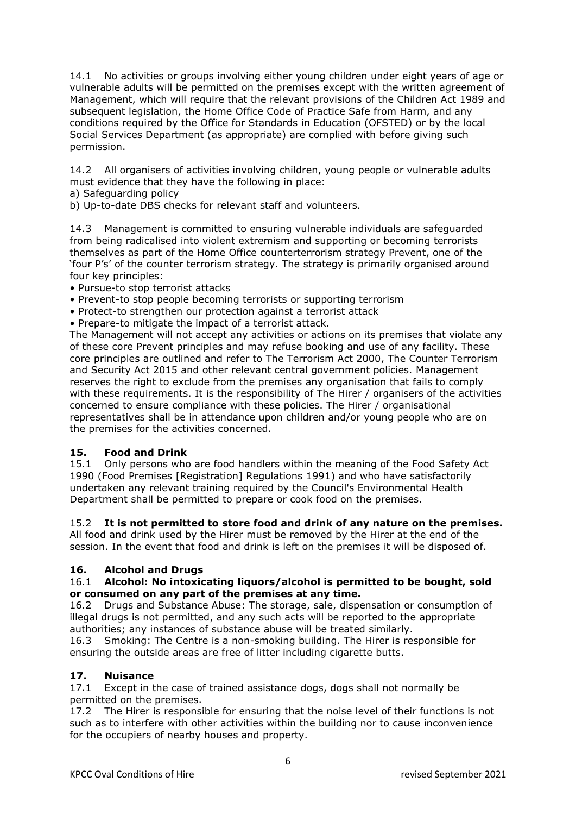14.1 No activities or groups involving either young children under eight years of age or vulnerable adults will be permitted on the premises except with the written agreement of Management, which will require that the relevant provisions of the Children Act 1989 and subsequent legislation, the Home Office Code of Practice Safe from Harm, and any conditions required by the Office for Standards in Education (OFSTED) or by the local Social Services Department (as appropriate) are complied with before giving such permission.

14.2 All organisers of activities involving children, young people or vulnerable adults must evidence that they have the following in place:

a) Safeguarding policy

b) Up-to-date DBS checks for relevant staff and volunteers.

14.3 Management is committed to ensuring vulnerable individuals are safeguarded from being radicalised into violent extremism and supporting or becoming terrorists themselves as part of the Home Office counterterrorism strategy Prevent, one of the 'four P's' of the counter terrorism strategy. The strategy is primarily organised around four key principles:

- Pursue-to stop terrorist attacks
- Prevent-to stop people becoming terrorists or supporting terrorism
- Protect-to strengthen our protection against a terrorist attack
- Prepare-to mitigate the impact of a terrorist attack.

The Management will not accept any activities or actions on its premises that violate any of these core Prevent principles and may refuse booking and use of any facility. These core principles are outlined and refer to The Terrorism Act 2000, The Counter Terrorism and Security Act 2015 and other relevant central government policies. Management reserves the right to exclude from the premises any organisation that fails to comply with these requirements. It is the responsibility of The Hirer / organisers of the activities concerned to ensure compliance with these policies. The Hirer / organisational representatives shall be in attendance upon children and/or young people who are on the premises for the activities concerned.

#### **15. Food and Drink**

15.1 Only persons who are food handlers within the meaning of the Food Safety Act 1990 (Food Premises [Registration] Regulations 1991) and who have satisfactorily undertaken any relevant training required by the Council's Environmental Health Department shall be permitted to prepare or cook food on the premises.

#### 15.2 **It is not permitted to store food and drink of any nature on the premises.**

All food and drink used by the Hirer must be removed by the Hirer at the end of the session. In the event that food and drink is left on the premises it will be disposed of.

#### **16. Alcohol and Drugs**

#### 16.1 **Alcohol: No intoxicating liquors/alcohol is permitted to be bought, sold or consumed on any part of the premises at any time.**

16.2 Drugs and Substance Abuse: The storage, sale, dispensation or consumption of illegal drugs is not permitted, and any such acts will be reported to the appropriate authorities; any instances of substance abuse will be treated similarly.

16.3 Smoking: The Centre is a non-smoking building. The Hirer is responsible for ensuring the outside areas are free of litter including cigarette butts.

### **17. Nuisance**

17.1 Except in the case of trained assistance dogs, dogs shall not normally be permitted on the premises.

17.2 The Hirer is responsible for ensuring that the noise level of their functions is not such as to interfere with other activities within the building nor to cause inconvenience for the occupiers of nearby houses and property.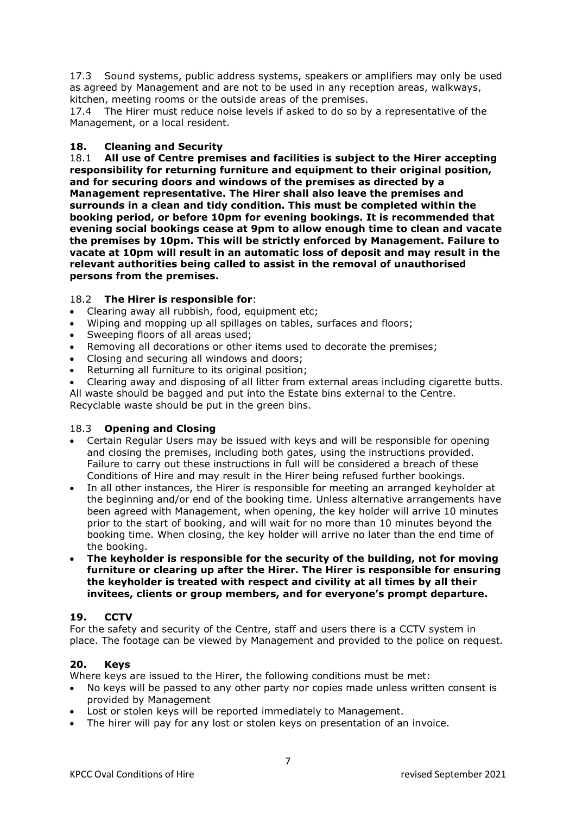17.3 Sound systems, public address systems, speakers or amplifiers may only be used as agreed by Management and are not to be used in any reception areas, walkways, kitchen, meeting rooms or the outside areas of the premises.

17.4 The Hirer must reduce noise levels if asked to do so by a representative of the Management, or a local resident.

#### **18. Cleaning and Security**

18.1 **All use of Centre premises and facilities is subject to the Hirer accepting responsibility for returning furniture and equipment to their original position, and for securing doors and windows of the premises as directed by a Management representative. The Hirer shall also leave the premises and surrounds in a clean and tidy condition. This must be completed within the booking period, or before 10pm for evening bookings. It is recommended that evening social bookings cease at 9pm to allow enough time to clean and vacate the premises by 10pm. This will be strictly enforced by Management. Failure to vacate at 10pm will result in an automatic loss of deposit and may result in the relevant authorities being called to assist in the removal of unauthorised persons from the premises.** 

#### 18.2 **The Hirer is responsible for**:

- Clearing away all rubbish, food, equipment etc;
- Wiping and mopping up all spillages on tables, surfaces and floors;
- Sweeping floors of all areas used;
- Removing all decorations or other items used to decorate the premises;
- Closing and securing all windows and doors;
- Returning all furniture to its original position;
- Clearing away and disposing of all litter from external areas including cigarette butts.

All waste should be bagged and put into the Estate bins external to the Centre. Recyclable waste should be put in the green bins.

#### 18.3 **Opening and Closing**

- Certain Regular Users may be issued with keys and will be responsible for opening and closing the premises, including both gates, using the instructions provided. Failure to carry out these instructions in full will be considered a breach of these Conditions of Hire and may result in the Hirer being refused further bookings.
- In all other instances, the Hirer is responsible for meeting an arranged keyholder at the beginning and/or end of the booking time. Unless alternative arrangements have been agreed with Management, when opening, the key holder will arrive 10 minutes prior to the start of booking, and will wait for no more than 10 minutes beyond the booking time. When closing, the key holder will arrive no later than the end time of the booking.
- **The keyholder is responsible for the security of the building, not for moving furniture or clearing up after the Hirer. The Hirer is responsible for ensuring the keyholder is treated with respect and civility at all times by all their invitees, clients or group members, and for everyone's prompt departure.**

### **19. CCTV**

For the safety and security of the Centre, staff and users there is a CCTV system in place. The footage can be viewed by Management and provided to the police on request.

#### **20. Keys**

Where keys are issued to the Hirer, the following conditions must be met:

- No keys will be passed to any other party nor copies made unless written consent is provided by Management
- Lost or stolen keys will be reported immediately to Management.
- The hirer will pay for any lost or stolen keys on presentation of an invoice.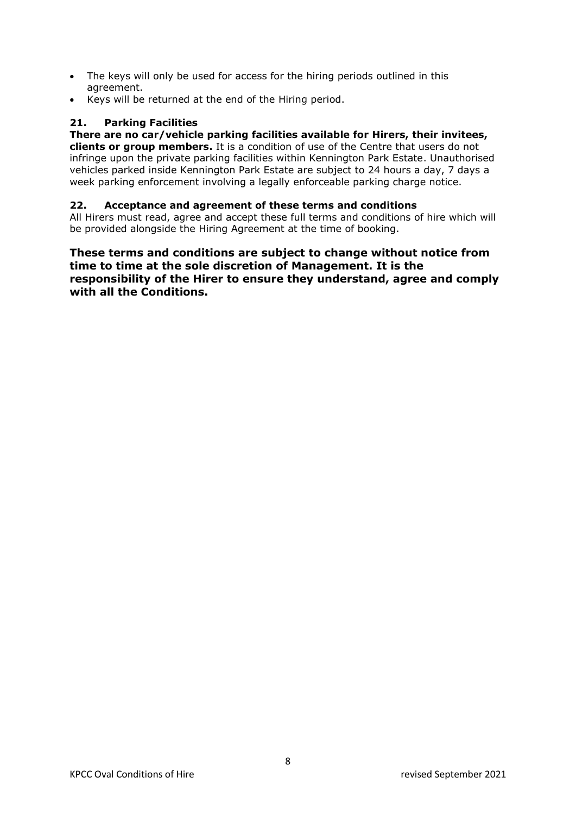- The keys will only be used for access for the hiring periods outlined in this agreement.
- Keys will be returned at the end of the Hiring period.

### **21. Parking Facilities**

# **There are no car/vehicle parking facilities available for Hirers, their invitees,**

**clients or group members.** It is a condition of use of the Centre that users do not infringe upon the private parking facilities within Kennington Park Estate. Unauthorised vehicles parked inside Kennington Park Estate are subject to 24 hours a day, 7 days a week parking enforcement involving a legally enforceable parking charge notice.

#### **22. Acceptance and agreement of these terms and conditions**

All Hirers must read, agree and accept these full terms and conditions of hire which will be provided alongside the Hiring Agreement at the time of booking.

**These terms and conditions are subject to change without notice from time to time at the sole discretion of Management. It is the responsibility of the Hirer to ensure they understand, agree and comply with all the Conditions.**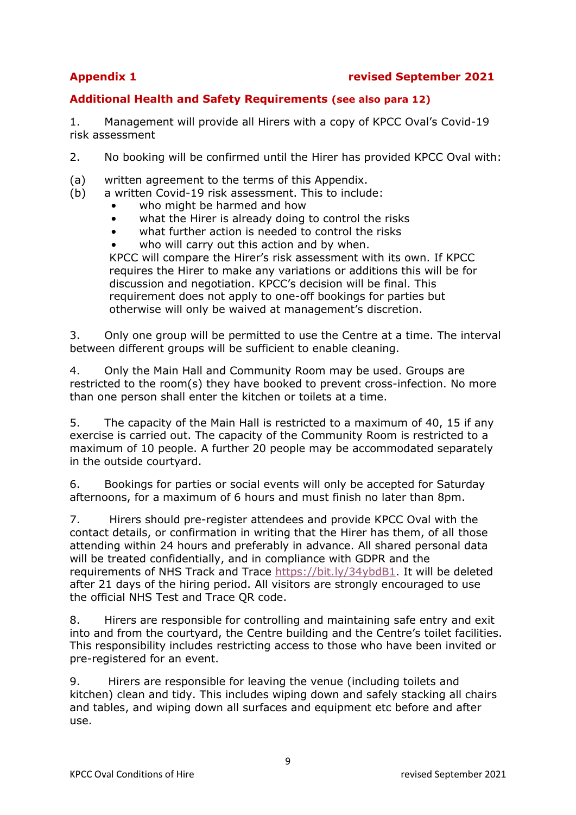# **Additional Health and Safety Requirements (see also para 12)**

1. Management will provide all Hirers with a copy of KPCC Oval's Covid-19 risk assessment

2. No booking will be confirmed until the Hirer has provided KPCC Oval with:

- (a) written agreement to the terms of this Appendix.
- (b) a written Covid-19 risk assessment. This to include:
	- who might be harmed and how
	- what the Hirer is already doing to control the risks
	- what further action is needed to control the risks
	- who will carry out this action and by when.

KPCC will compare the Hirer's risk assessment with its own. If KPCC requires the Hirer to make any variations or additions this will be for discussion and negotiation. KPCC's decision will be final. This requirement does not apply to one-off bookings for parties but otherwise will only be waived at management's discretion.

3. Only one group will be permitted to use the Centre at a time. The interval between different groups will be sufficient to enable cleaning.

4. Only the Main Hall and Community Room may be used. Groups are restricted to the room(s) they have booked to prevent cross-infection. No more than one person shall enter the kitchen or toilets at a time.

5. The capacity of the Main Hall is restricted to a maximum of 40, 15 if any exercise is carried out. The capacity of the Community Room is restricted to a maximum of 10 people. A further 20 people may be accommodated separately in the outside courtyard.

6. Bookings for parties or social events will only be accepted for Saturday afternoons, for a maximum of 6 hours and must finish no later than 8pm.

7. Hirers should pre-register attendees and provide KPCC Oval with the contact details, or confirmation in writing that the Hirer has them, of all those attending within 24 hours and preferably in advance. All shared personal data will be treated confidentially, and in compliance with GDPR and the requirements of NHS Track and Trace [https://bit.ly/34ybdB1.](https://bit.ly/34ybdB1) It will be deleted after 21 days of the hiring period. All visitors are strongly encouraged to use the official NHS Test and Trace QR code.

8. Hirers are responsible for controlling and maintaining safe entry and exit into and from the courtyard, the Centre building and the Centre's toilet facilities. This responsibility includes restricting access to those who have been invited or pre-registered for an event.

9. Hirers are responsible for leaving the venue (including toilets and kitchen) clean and tidy. This includes wiping down and safely stacking all chairs and tables, and wiping down all surfaces and equipment etc before and after use.